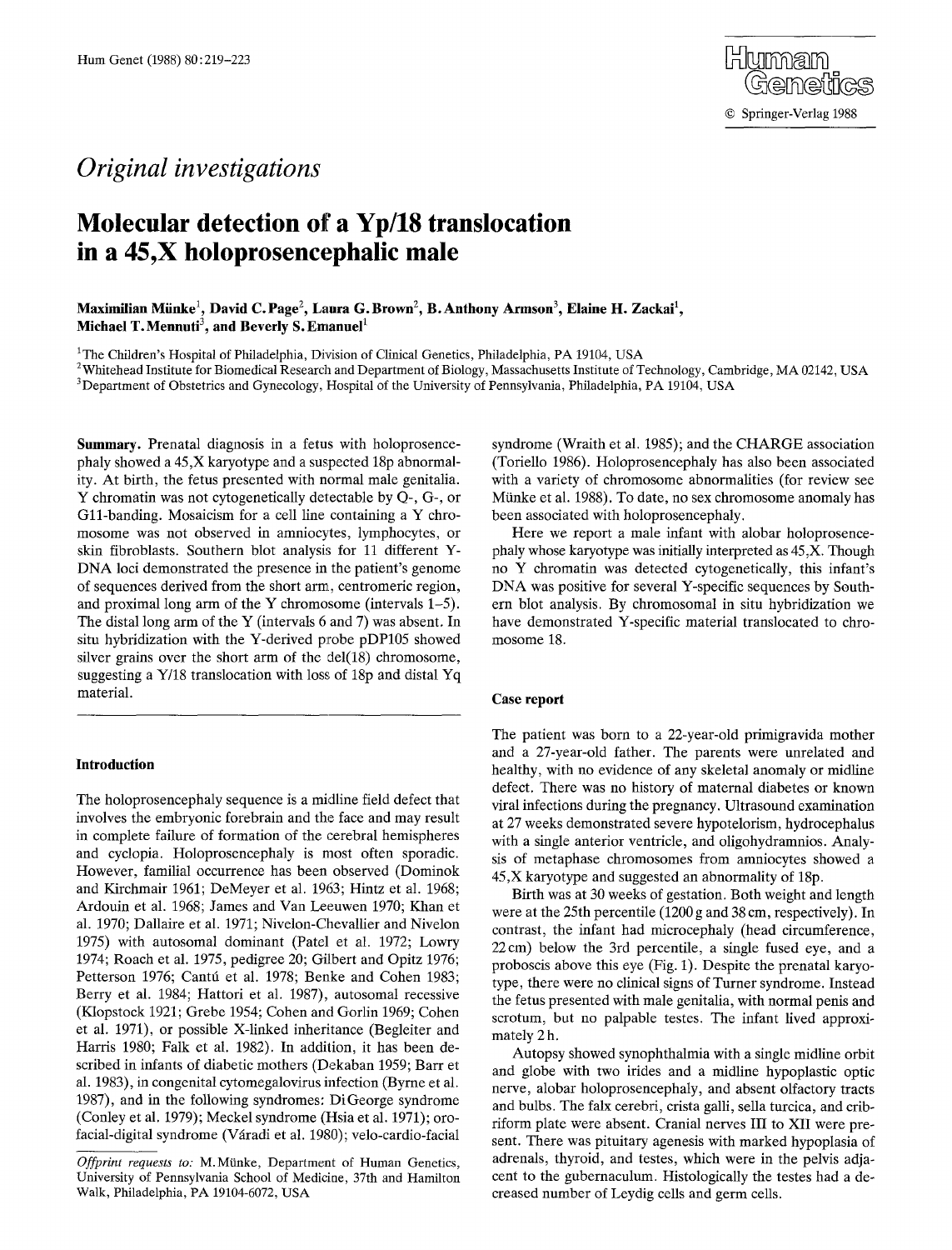# *Original investigations*

# **Molecular detection of a Yp/18 translocation in a 45,X holoprosencephalic male**

Maximilian Münke<sup>1</sup>, David C. Page<sup>2</sup>, Laura G. Brown<sup>2</sup>, B. Anthony Armson<sup>3</sup>, Elaine H. Zackai<sup>1</sup>, **Michael T. Mennuti<sup>3</sup>, and Beverly S. Emanuel<sup>1</sup>** 

1The Children's Hospital of Philadelphia, Division of Clinical Genetics, Philadelphia, PA 19104, USA

 $2$ Whitehead Institute for Biomedical Research and Department of Biology, Massachusetts Institute of Technology, Cambridge, MA 02142, USA 3 Department of Obstetrics and Gynecology, Hospital of the University of Pennsylvania, Philadelphia, PA 19104, USA

**Summary.** Prenatal diagnosis in a fetus with holoprosencephaly showed a 45,X karyotype and a suspected 18p abnormality. At birth, the fetus presented with normal male genitalia. Y chromatin was not cytogenetically detectable by Q-, G-, or G11-banding. Mosaicism for a cell line containing a Y chromosome was not observed in amniocytes, lymphocytes, or skin fibroblasts. Southern blot analysis for 11 different Y-DNA loci demonstrated the presence in the patient's genome of sequences derived from the short arm, centromeric region, and proximal long arm of the Y chromosome (intervals 1-5). The distal long arm of the Y (intervals 6 and 7) was absent. In situ hybridization with the Y-derived probe pDP105 showed silver grains over the short arm of the del(18) chromosome, suggesting a Y/18 translocation with loss of 18p and distal Yq material.

#### **Introduction**

The holoprosencephaly sequence is a midline field defect that involves the embryonic forebrain and the face and may result in complete failure of formation of the cerebral hemispheres and cyclopia. Holoprosencephaly is most often sporadic. However, familial occurrence has been observed (Dominok and Kirchmair 1961; DeMeyer et al. 1963; Hintz et al. 1968; Ardouin et al. 1968; James and Van Leeuwen 1970; Khan et al. 1970; Dallaire et al. 1971; Nivelon-Chevallier and Nivelon 1975) with autosomal dominant (Patel et al. 1972; Lowry 1974; Roach et al. 1975, pedigree 20; Gilbert and Opitz 1976; Petterson 1976; Cantú et al. 1978; Benke and Cohen 1983; Berry et al. 1984; Hattori et al. 1987), autosomal recessive (Klopstock 1921; Grebe 1954; Cohen and Gorlin 1969; Cohen et al. 1971), or possible X-linked inheritance (Begleiter and Harris 1980; Falk et al. 1982). In addition, it has been described in infants of diabetic mothers (Dekaban 1959; Barr et al. 1983), in congenital cytomegalovirus infection (Byrne et al. 1987), and in the following syndromes: DiGeorge syndrome (Conley et al. 1979); Meckel syndrome (Hsia et al. 1971); orofacial-digital syndrome (Vfiradi et al. 1980); velo-cardio-facial

syndrome (Wraith et al. 1985); and the CHARGE association (Toriello 1986). Holoprosencephaly has also been associated with a variety of chromosome abnormalities (for review see Münke et al. 1988). To date, no sex chromosome anomaly has been associated with holoprosencephaly.

Here we report a male infant with alobar holoprosencephaly whose karyotype was initially interpreted as 45,X. Though no Y chromatin was detected cytogenetically, this infant's DNA was positive for several Y-specific sequences by Southern blot analysis. By chromosomal in situ hybridization we have demonstrated Y-specific material translocated to chromosome 18.

#### **Case report**

The patient was born to a 22-year-old primigravida mother and a 27-year-old father. The parents were unrelated and healthy, with no evidence of any skeletal anomaly or midline defect. There was no history of maternal diabetes or known viral infections during the pregnancy. Ultrasound examination at 27 weeks demonstrated severe hypotelorism, hydrocephalus with a single anterior ventricle, and oligohydramnios. Analysis of metaphase chromosomes from amniocytes showed a 45,X karyotype and suggested an abnormality of 18p.

Birth was at 30 weeks of gestation. Both weight and length were at the 25th percentile (1200 g and 38 cm, respectively). In contrast, the infant had microcephaly (head circumference, 22cm) below the 3rd percentile, a single fused eye, and a proboscis above this eye (Fig. 1). Despite the prenatal karyotype, there were no clinical signs of Turner syndrome. Instead the fetus presented with male genitalia, with normal penis and scrotum, but no palpable testes. The infant lived approximately 2 h.

Autopsy showed synophthalmia with a single midline orbit and globe with two irides and a midline hypoplastic optic nerve, alobar holoprosencephaly, and absent olfactory tracts and bulbs. The falx cerebri, crista galli, sella turcica, and cribriform plate were absent. Cranial nerves III to XII were present. There was pituitary agenesis with marked hypoplasia of adrenals, thyroid, and testes, which were in the pelvis adjacent to the gubernaculum. Histologically the testes had a decreased number of Leydig ceils and germ cells.

*Offprint requests to: M.Münke, Department of Human Genetics,* University of Pennsylvania School of Medicine, 37th and Hamilton Walk, Philadelphia, PA 19104-6072, USA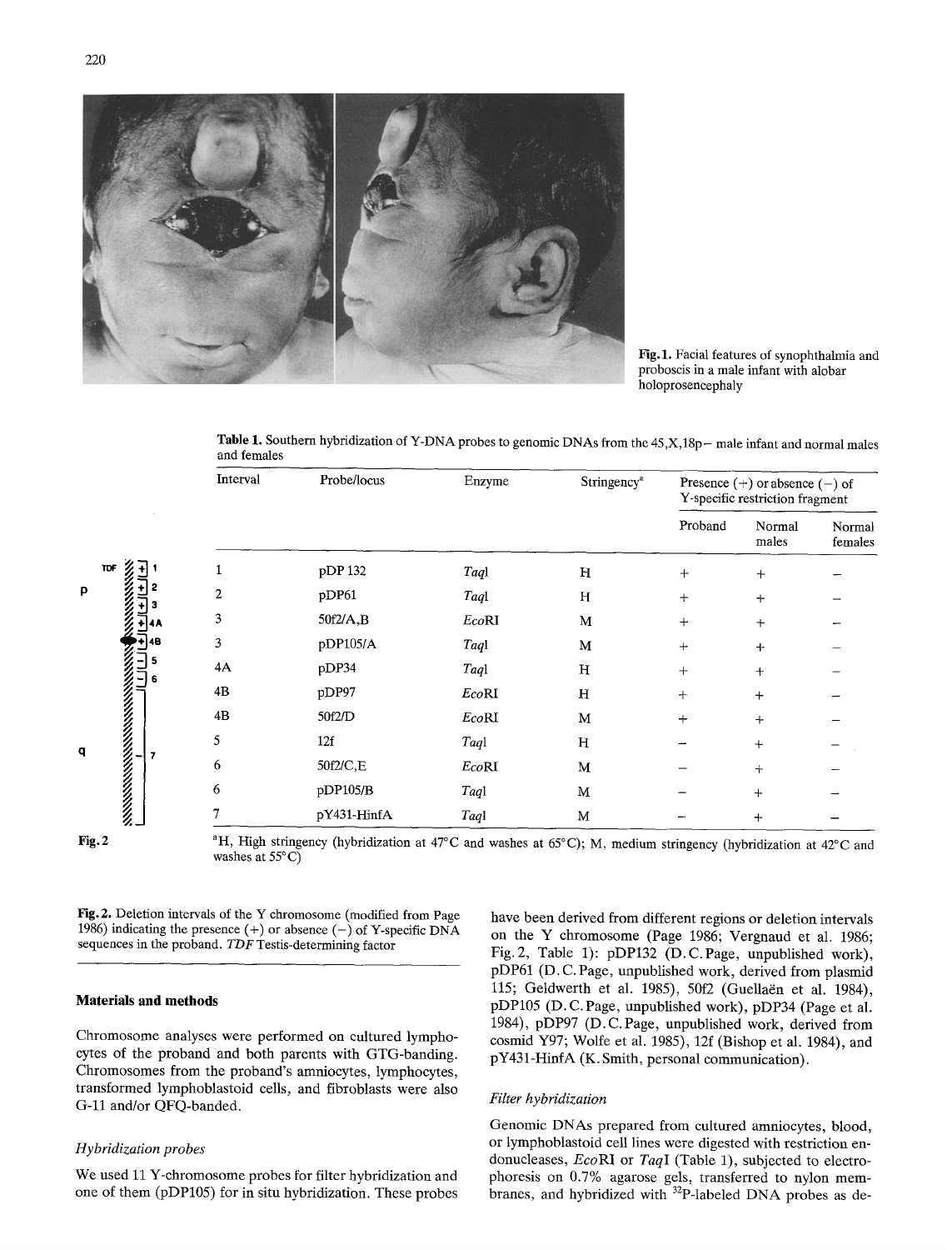



Fig.1. Facial features of synophthalmia and proboscis in a male infant with alobar holoprosencephaly

Table 1. Southern hybridization of Y-DNA probes to genomic DNAs from the 45,X,18p- male infant and normal males and females

|                                                                                                                     | Interval       | Probe/locus  | Enzyme | Stringency <sup>a</sup> | Presence $(+)$ or absence $(-)$ of<br>Y-specific restriction fragment |                 |                   |
|---------------------------------------------------------------------------------------------------------------------|----------------|--------------|--------|-------------------------|-----------------------------------------------------------------------|-----------------|-------------------|
|                                                                                                                     |                |              |        |                         | Proband                                                               | Normal<br>males | Normal<br>females |
| TDF<br>p<br>$\bar{\mathbf{H}}$ 4B<br>WANANA MARAZI YA MWANA WA 2019.<br>Wanana mwaka mwaka mwaka wa 1979.<br>q<br>7 |                | pDP 132      | Taql   | H                       | $+$                                                                   | $+$             |                   |
|                                                                                                                     | $\overline{c}$ | pDP61        | Taql   | H                       | $^{+}$                                                                | $\pm$           |                   |
|                                                                                                                     | 3              | $50f2/A$ , B | EcoRI  | M                       | $^{+}$                                                                | $+$             |                   |
|                                                                                                                     | 3              | pDP105/A     | Taql   | M                       | $+$                                                                   | $+$             |                   |
|                                                                                                                     | 4A             | pDP34        | Taql   | н                       | $\mathrm{+}$                                                          | $+$             |                   |
|                                                                                                                     | 4B             | pDP97        | EcoRI  | H                       | $+$                                                                   | $\ddot{}$       |                   |
|                                                                                                                     | 4B             | 50f2/D       | EcoRI  | М                       | $+$                                                                   | $+$             |                   |
|                                                                                                                     | 5              | 12f          | Taql   | H                       |                                                                       | $^{+}$          |                   |
|                                                                                                                     | 6              | 50f2/C,E     | EcoRI  | M                       |                                                                       | $+$             |                   |
|                                                                                                                     | 6              | pDP105/B     | Taql   | M                       |                                                                       | $+$             |                   |
|                                                                                                                     |                | pY431-HinfA  | Taql   | M                       |                                                                       | $^{+}$          |                   |
|                                                                                                                     |                |              |        |                         |                                                                       |                 |                   |

Fig. 2 <sup>a</sup>H, High stringency (hybridization at 47°C and washes at 65°C); M, medium stringency (hybridization at 42°C and washes at 55°C)

Fig. 2. Deletion intervals of the Y chromosome (modified from Page 1986) indicating the presence  $(+)$  or absence  $(-)$  of Y-specific DNA sequences in the proband. *TDF* Testis-determining factor

#### **Materials and methods**

Chromosome analyses were performed on cultured lymphocytes of the proband and both parents with GTG-banding. Chromosomes from the proband's amniocytes, lymphocytes, transformed lymphoblastoid cells, and fibroblasts were also G-11 and/or QFQ-banded.

#### *Hybridization probes*

We used 11 Y-chromosome probes for filter hybridization and one of them (pDP105) for in situ hybridization. These probes

have been derived from different regions or deletion intervals on the Y chromosome (Page 1986; Vergnaud et al. 1986; Fig. 2, Table 1): pDP132 (D.C.Page, unpublished work), pDP61 (D. C. Page, unpublished work, derived from plasmid 115; Geldwerth et al. 1985), 50f2 (Guellaën et al. 1984), pDP105 (D. C. Page, unpublished work), pDP34 (Page et al. 1984), pDP97 (D. C.Page, unpublished work, derived from cosmid Y97; Wolfe et al. 1985), 12f (Bishop et al. 1984), and pY431-HinfA (K. Smith, personal communication).

#### *Filter hybridization*

Genomic DNAs prepared from cultured amniocytes, blood, or lymphoblastoid cell lines were digested with restriction endonucleases, *EcoRI* or *TaqI* (Table 1), subjected to electrophoresis on 0.7% agarose gels, transferred to nylon membranes, and hybridized with <sup>32</sup>P-labeled DNA probes as de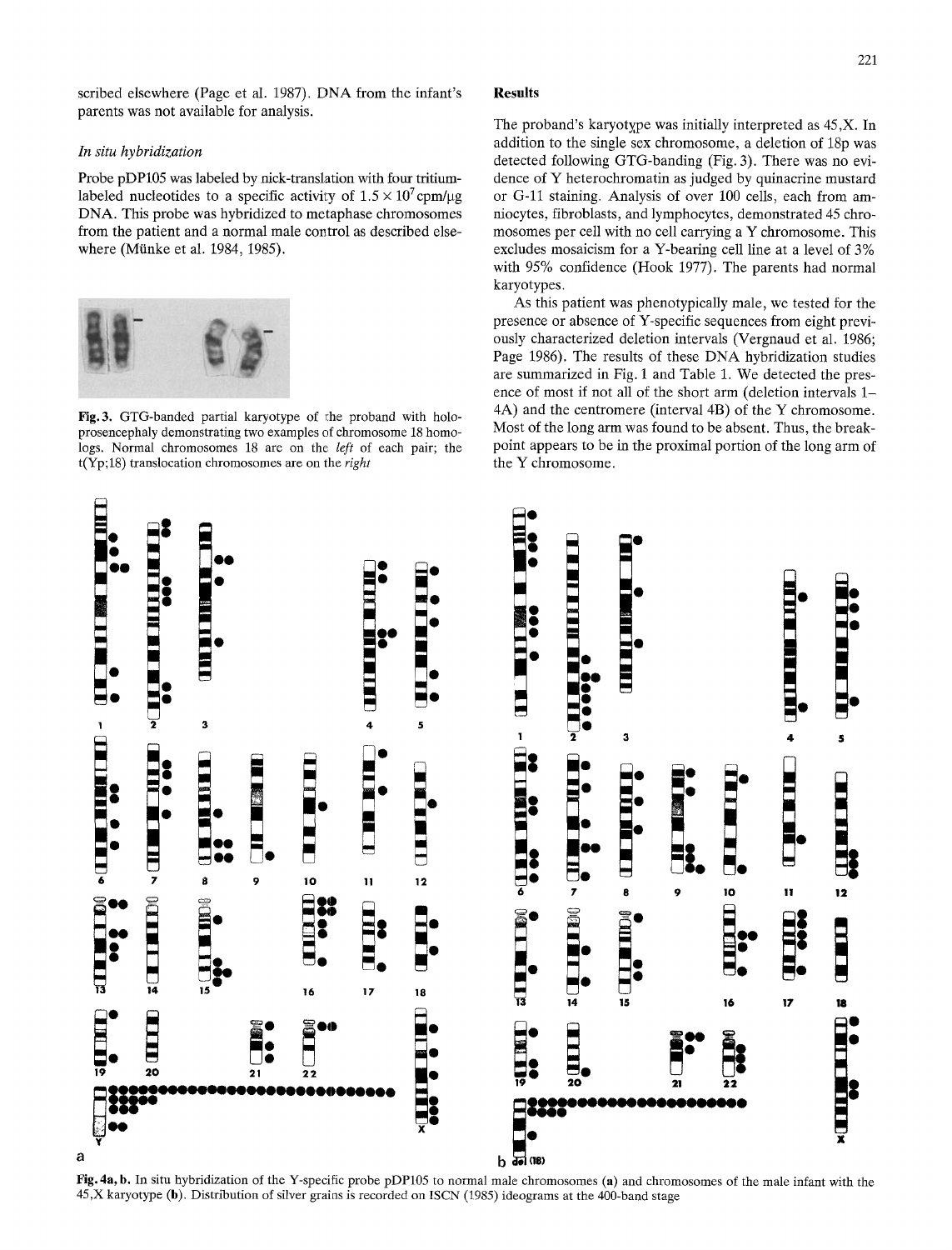scribed elsewhere (Page et al. 1987). DNA from the infant's parents was not available for analysis.

## *In situ hybridization*

Probe pDP105 was labeled by nick-translation with four tritiumlabeled nucleotides to a specific activity of  $1.5 \times 10^7$  cpm/ $\mu$ g DNA. This probe was hybridized to metaphase chromosomes from the patient and a normal male control as described elsewhere (Münke et al. 1984, 1985).



Fig. 3. GTG-banded partial karyotype of the proband with holoprosencephaly demonstrating two examples of chromosome 18 homologs. Normal chromosomes 18 are on the *left* of each pair; the t(Yp;18) translocation chromosomes are on the *right* 

### **Results**

The proband's karyotype was initially interpreted as  $45.X$ . In addition to the single sex chromosome, a deletion of 18p was detected following GTG-banding (Fig. 3). There was no evidence of Y heterochromatin as judged by quinacrine mustard or G-11 staining. Analysis of over 100 cells, each from amniocytes, fibroblasts, and lymphocytes, demonstrated 45 chromosomes per cell with no cell carrying a Y chromosome. This excludes mosaicism for a Y-bearing cell line at a level of 3% with 95% confidence (Hook 1977). The parents had normal karyotypes.

As this patient was phenotypically male, we tested for the presence or absence of Y-specific sequences from eight previously characterized deletion intervals (Vergnaud et al. 1986; Page 1986). The results of these DNA hybridization studies are summarized in Fig. 1 and Table 1. We detected the presence of most if not all of the short arm (deletion intervals 1- 4A) and the centromere (interval 4B) of the Y chromosome. Most of the long arm was found to be absent. Thus, the breakpoint appears to be in the proximal portion of the long arm of the Y chromosome.



Fig. 4a, b. In situ hybridization of the Y-specific probe pDP105 to normal male chromosomes (a) and chromosomes of the male infant with the 45,X karyotype (b). Distribution of silver grains is recorded on ISCN (1985) ideograms at the 400-band stage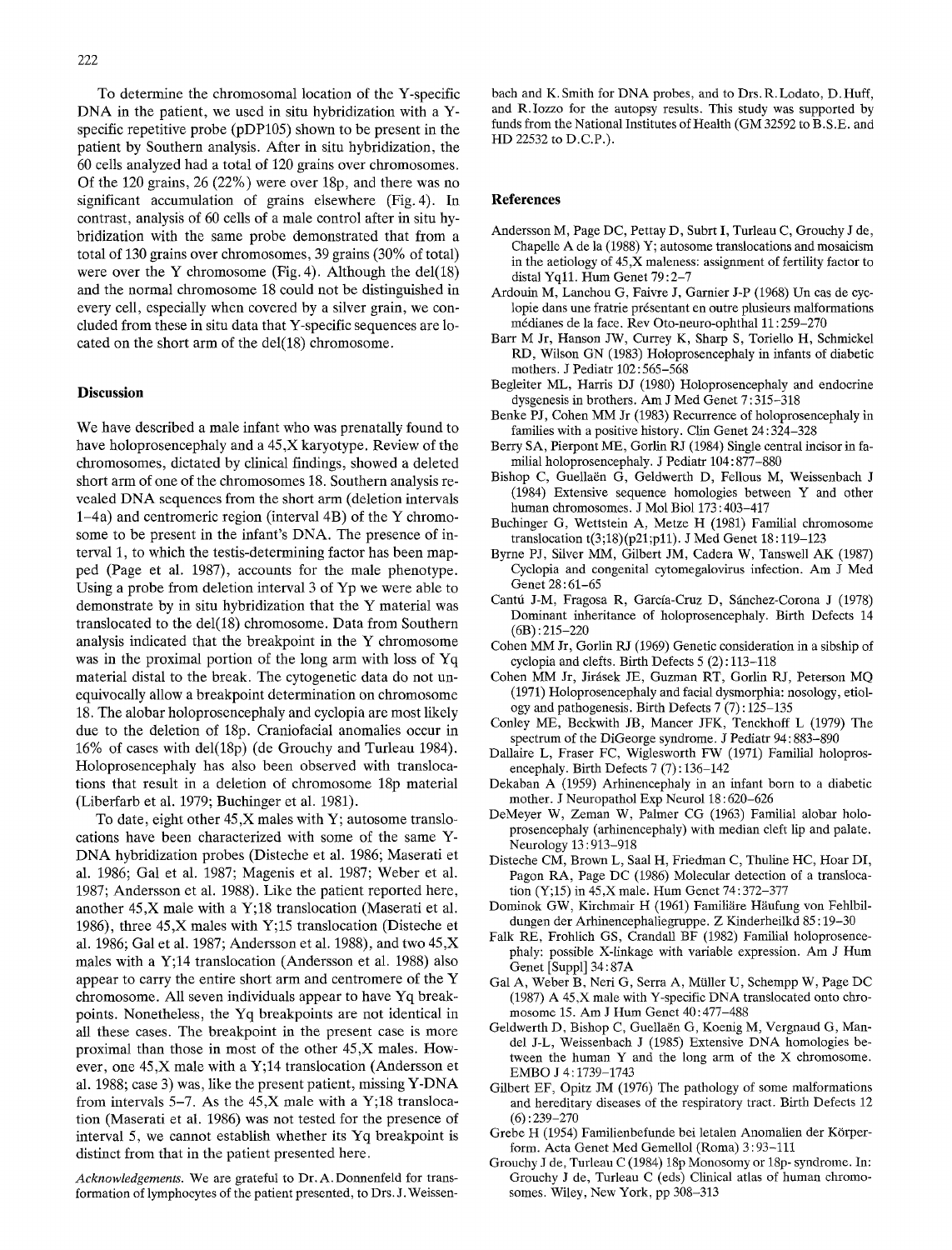To determine the chromosomal location of the Y-specific DNA in the patient, we used in situ hybridization with a Yspecific repetitive probe (pDP105) shown to be present in the patient by Southern analysis. After in situ hybridization, the 60 cells analyzed had a total of 120 grains over chromosomes. Of the 120 grains, 26 (22%) were over 18p, and there was no significant accumulation of grains elsewhere (Fig. 4). In contrast, analysis of 60 cells of a male control after in situ hybridization with the same probe demonstrated that from a total of 130 grains over chromosomes, 39 grains (30% of total) were over the Y chromosome (Fig. 4). Although the del $(18)$ and the normal chromosome 18 could not be distinguished in every cell, especially when covered by a silver grain, we concluded from these in situ data that Y-specific sequences are located on the short arm of the del(18) chromosome.

### **Discussion**

We have described a male infant who was prenatally found to have holoprosencephaly and a 45,X karyotype. Review of the chromosomes, dictated by clinical findings, showed a deleted short arm of one of the chromosomes 18. Southern analysis revealed DNA sequences from the short arm (deletion intervals l-4a) and centromeric region (interval 4B) of the Y chromosome to be present in the infant's DNA. The presence of interval 1, to which the testis-determining factor has been mapped (Page et al. 1987), accounts for the male phenotype. Using a probe from deletion interval 3 of Yp we were able to demonstrate by in situ hybridization that the Y material was translocated to the del(18) chromosome. Data from Southern analysis indicated that the breakpoint in the Y chromosome was in the proximal portion of the long arm with loss of Yq material distal to the break. The cytogenetic data do not unequivocally allow a breakpoint determination on chromosome 18. The alobar holoprosencephaly and cyclopia are most likely due to the deletion of 18p. Craniofacial anomalies occur in 16% of cases with del(18p) (de Grouchy and Turleau 1984). Holoprosencephaly has also been observed with translocations that result in a deletion of chromosome 18p material (Liberfarb et al. 1979; Buchinger et al. 1981).

To date, eight other 45,X males with Y; autosome translocations have been characterized with some of the same Y-DNA hybridization probes (Disteche et al. 1986; Maserati et al. 1986; Gal et al. 1987; Magenis et al. 1987; Weber et al. 1987; Andersson et al. 1988). Like the patient reported here, another 45,X male with a Y;18 translocation (Maserati et al. 1986), three 45,X males with Y;15 translocation (Disteche et al. 1986; Gal et al. 1987; Andersson et al. 1988), and two 45,X males with a Y;14 translocation (Andersson et al. 1988) also appear to carry the entire short arm and centromere of the Y chromosome. All seven individuals appear to have Yq breakpoints. Nonetheless, the Yq breakpoints are not identical in all these cases. The breakpoint in the present case is more proximal than those in most of the other 45,X males. However, one 45,X male with a Y;14 translocation (Andersson et al. 1988; case 3) was, like the present patient, missing Y-DNA from intervals 5-7. As the 45,X male with a Y;18 translocation (Maserati et al. 1986) was not tested for the presence of interval 5, we cannot establish whether its Yq breakpoint is distinct from that in the patient presented here.

*Acknowledgements.* We are grateful to Dr. A. Donnenfeld for transformation of lymphocytes of the patient presented, to Drs. J. Weissenbach and K. Smith for DNA probes, and to Drs. R. Lodato, D. Huff, and R.Iozzo for the autopsy results. This study was supported by funds from the National Institutes of Health (GM 32592 to B.S.E. and HD 22532 to D.C.P.).

#### **References**

- Andersson M, Page DC, Pettay D, Subrt I, Turleau C, Grouchy J de, Chapelle A de la (1988) Y; autosome translocations and mosaicism in the aetiology of 45,X maleness: assignment of fertility factor to distal Yqll. Hum Genet 79:2-7
- Ardouin M, Lanchou G, Faivre J, Gamier J-P (1968) Un cas de cyclopie dans une fratrie présentant en outre plusieurs malformations m6dianes de la face. Rev Oto-neuro-ophthal 11:259-270
- Barr M Jr, Hanson JW, Currey K, Sharp S, Toriello H, Schmickel RD, Wilson GN (1983) Holoprosencephaly in infants of diabetic mothers. J Pediatr 102: 565-568
- Begleiter ML, Harris DJ (1980) Holoprosencephaly and endocrine dysgenesis in brothers. Am J Med Genet 7: 315-318
- Benke PJ, Cohen MM Jr (1983) Recurrence of holoprosencephaly in families with a positive history. Clin Genet 24 : 324-328
- Berry 8A, Pierpont ME, Gorlin RJ (1984) Single central incisor in familial holoprosencephaly. J Pediatr 104: 877-880
- Bishop C, Guellaën G, Geldwerth D, Fellous M, Weissenbach J (1984) Extensive sequence homologies between Y and other human chromosomes. J Mol Biol 173 : 403-417
- Buchinger G, Wettstein A, Metze H (1981) Familial chromosome translocation t(3;18)(p21;pll). J Med Genet 18:119-123
- Byrne PJ, Silver MM, Gilbert JM, Cadera W, Tanswell AK (1987) Cyclopia and congenital cytomegalovirus infection. Am J Med Genet 28:61-65
- Cantú J-M, Fragosa R, García-Cruz D, Sánchez-Corona J (1978) Dominant inheritance of holoprosencephaly. Birth Defects 14 (6B) :215-220
- Cohen MM Jr, Gorlin RJ (1969) Genetic consideration in a sibship of cyclopia and clefts. Birth Defects 5 (2) : 113-118
- Cohen MM Jr, Jirásek JE, Guzman RT, Gorlin RJ, Peterson MQ (1971) Holoprosencephaly and facial dysmorphia: nosology, etiology and pathogenesis. Birth Defects 7 (7) : 125-135
- Conley ME, Beckwith JB, Mancer JFK, Tenckhoff L (1979) The spectrum of the DiGeorge syndrome. J Pediatr 94: 883-890
- Dallaire L, Fraser FC, Wiglesworth FW (1971) Familial holoprosencephaly. Birth Defects 7 (7) : 136-142
- Dekaban A (1959) Arhinencephaly in an infant born to a diabetic mother. J Neuropathol Exp Neurol 18 : 620-626
- DeMeyer W, Zeman W, Palmer CG (1963) Familial alobar holoprosencephaly (arhinencephaly) with median cleft lip and palate. Neurology 13 : 913-918
- Disteche CM, Brown L, Saal H, Friedman C, Thuline HC, Hoar DI, Pagon RA, Page DC (1986) Molecular detection of a translocation (Y;15) in 45,X male. Hum Genet 74:372-377
- Dominok GW, Kirchmair H (1961) Familiäre Häufung von Fehlbildungen der Arhinencephaliegruppe. Z Kinderheilkd 85 : 19-30
- Falk RE, Frohlich GS, Crandall BF (1982) Familial holoprosencephaly: possible X-linkage with variable expression. Am J Hum Genet [Suppl] 34 : 87A
- Gal A, Weber B, Neri G, Serra A, Miiller U, Schempp W, Page DC (1987) A 45,X male with Y-specific DNA trauslocated onto chromosome 15. Am J Hum Genet 40:477-488
- Geldwerth D, Bishop C, Guellaën G, Koenig M, Vergnaud G, Mandel J-L, Weissenbach J (1985) Extensive DNA homologies between the human  $Y$  and the long arm of the  $X$  chromosome. EMBO J 4:1739-1743
- Gilbert EF, Opitz JM (1976) The pathology of some malformations and hereditary diseases of the respiratory tract. Birth Defects 12  $(6) : 239 - 270$
- Grebe H (1954) Familienbefunde bei letalen Anomalieu der KOrperform. Acta Genet Med Gemellol (Roma) 3 : 93-111
- Grouchy J de, Turleau C (1984) 18p Monosomy or 18p- syndrome. In: Grouchy J de, Turleau C (eds) Clinical atlas of human chromosomes. Wiley, New York, pp 308-313